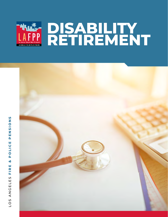

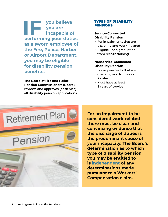**IF you believe**<br> **IF you are<br>
incapable of<br>
porforming your duties you are incapable of performing your duties as a sworn employee of the Fire, Police, Harbor or Airport Department, you may be eligible for disability pension benefits.** 

**The Board of Fire and Police Pension Commissioners (Board) reviews and approves (or denies) all disability pension applications.**

#### TYPES OF DISABILITY PENSIONS

#### **Service-Connected Disability Pension**

- For impairments that are disabling and Work-Related
- Eligible upon graduation from recruit training

#### **Nonservice-Connected Disability Pension**

- For impairments that are disabling and Non-work Related
- Must have at least 5 years of service



**For an impairment to be considered work-related there must be clear and convincing evidence that the discharge of duties is the predominant cause of your incapacity. The Board's determination as to which type of disability pension you may be entitled to is independent of any determinations made pursuant to a Workers' Compensation claim.**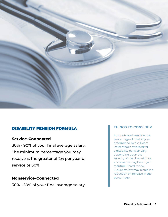

### DISABILITY PENSION FORMULA

#### **Service-Connected**

30% - 90% of your final average salary. The minimum percentage you may receive is the greater of 2% per year of service or 30%.

#### **Nonservice-Connected**

30% - 50% of your final average salary.

#### **THINGS TO CONSIDER**

Amounts are based on the percentage of disability as determined by the Board. Percentages awarded for a disability pension vary depending upon the severity of the illness/injury, and awards may be subject to future Board review. Future review may result in a reduction or increase in the percentage.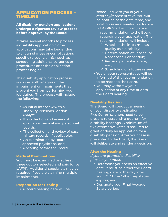#### APPLICATION PROCESS – TIMELINE

#### **All disability pension applications undergo a rigorous review process before approval by the Board**

It takes several months to process a disability application. Some applications may take longer due to circumstances or complications specific to your claim(s), such as scheduling additional surgeries or procedures after the application process begins.

The disability application process is an in-depth analysis of the impairment or impairments that prevent you from performing your job duties. The process will include the following:

- An initial interview with a Disability Pensions Section Analyst;
- The collection and review of applicable medical and personnel records;
- The collection and review of past military records (if applicable);
- An examination by Boardapproved physicians; and,
- A hearing before the Board.

#### **Medical Examinations**

You must be examined by at least three doctors selected and paid for by LAFPP. Additional specialists may be required if you are claiming multiple impairments.

#### **Preparation for Hearing**

A Board hearing date will be

scheduled with you or your attorney/representative. You will be notified of the date, time, and location several weeks in advance.

- LAFPP Staff will formulate a recommendation to the Board regarding your application. The recommendation will include:
	- 1. Whether the impairments qualify as a disability;
	- 2. Determination of Service- or Nonservice-Connection;
	- 3. Pension percentage rate; and,
	- 4. Scheduling of a future review
- You or your representative will be informed of the recommendation to be made to the Board.
- You may withdraw your application at any time prior to the Board hearing.

#### **Disability Hearing**

The Board will conduct a hearing on your disability application. Five Commissioners need to be present to establish a quorum for disability hearings. A minimum of five affirmative votes is required to grant or deny an application for a disability pension. After your case is presented to the Board, the Board will deliberate and render a decision.

#### **After the Hearing**

*If you are granted a disability pension you must:*

- Determine your pension effective date. It must be either the Board hearing date or the day after your IOD time /other pay status expires; and
- Designate your Final Average Salary period.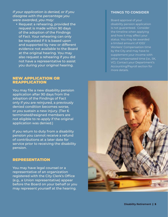*If your application is denied, or if you disagree with the percentage you were awarded, you may:*

• Request a rehearing, provided the request is made within 90 days of the adoption of the Findings of Fact. Your rehearing can only be requested if it is based upon and supported by new or different evidence not available to the Board at the original hearing. You may also request a rehearing if you did not have a representative to assist you during your original hearing.

#### NEW APPLICATION OR REAPPLICATION

You may file a new disability pension application after 90 days from the adoption of the Findings of Fact only if you are reinjured, a previously denied condition becomes worse, or you sustain a new injury. (Tier 6 terminated/resigned members are not eligible to re-apply if the original application was denied.)

If you return to duty from a disability pension you cannot receive a refund of contributions at a later date for service prior to receiving the disability pension.

#### REPRESENTATION

You may have legal counsel or a representative of an organization registered with the City Clerk's Office (e.g., a Union representative) appear before the Board on your behalf or you may represent yourself at the hearing.

#### **THINGS TO CONSIDER**

Board approval of your disability pension application is not guaranteed. Consider the timeline when applying and how it may affect your status. You may be awarded a limited amount of IOD/ Workers' Compensation time by the City and may have to supplement your income with other compensated time (i.e., SK, VC). Contact your Department's Accounting/Payroll section for more details.

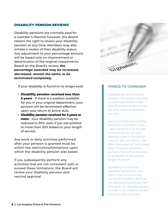#### DISABILITY PENSION REVIEWS

Disability pensions are normally paid for a member's lifetime; however, *the Board retains the right to review your disability pension at any time.* Members may also initiate a review of their disability status. Any adjustment to your percentage amount will be based only on improvement or deterioration of the original impairments. Based on the Board's review, *the percentage awarded may be increased, decreased, remain the same, or be terminated completely.*

*If your disability is found to no longer exist:*

- **Disability pension received less than 5 years** - If there is a position available for you in your original department, your pension will be terminated effective upon your return to active duty.
- **Disability pension received for 5 years or more** - Your disability pension may be reduced to *30%, even if you are entitled to more than 30% based on your length of service.*

Any work or daily activities performed after your pension is granted must be within the restrictions/limitations upon which the disability pension was based.

If you subsequently perform any activities that are not consistent with or exceed these limitations, the Board will review your disability pension and rescind approval.



#### **THINGS TO CONSIDER**

Disability pensions may be revoked. Pensioners returned to work may receive credit toward service retirement for the time spent on disability pension.

Service-Connected Disability Pensioner returned to duty – after remaining on the job continuously for one year, disability time is restored at a day for day conversion rate. After three years of continuous duty, the entire disability pension time will be restored for purposes of calculating length of service.

Nonservice-Connected Disability Pensioners who return from a nonserviceconnected disability pension are required to purchase their time spent on disability pension in order to be credited toward overall length of service.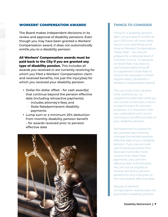#### WORKERS' COMPENSATION AWARDS

The Board makes independent decisions in its review and approval of disability pensions. Even though you may have been granted a Workers' Compensation award, *it does not automatically entitle you to a disability pension.*

**All Workers' Compensation awards must be paid back to the City if you are granted any type of disability pension.** This includes all awards you received or are currently receiving for which you filed a Workers' Compensation claim and received benefits, not just the injury(ies) for which you received your disability pension.

- Dollar-for-dollar offset for cash award(s) that continue beyond the pension effective date (including retroactive payments)
	- includes attorney's fees; and
	- State Rate/permanent disability payments.
- Lump sum or a minimum 25% deduction from monthly disability pension benefit – for awards received prior to pension effective date



#### **THINGS TO CONSIDER**

Filing for a disability pension after using at least 6 months of your IOD time will most likely result in you spending some time on Workers' Compensation "State Rate". You should prepare for a reduced level of monthly income. Employees on State Rate may elect to use compensated time off to supplement State Rate to receive the equivalent of their regular salary. {Andersen v. Workers' Compensation Board.}

The use of sick time, vacation time, overtime, etc., to supplement State Rate while you are injured constitutes a return to payroll status for pension purposes. It is important that you understand such action will impact the effective date of your disability pension.

Reinstatement to payroll for any purpose permanently changes the earliest possible effective date of your disability pension. If you use accrued overtime/vacation/sick time because it provides more income than State Rate payments, your pension effective date shifts forward. You will not be eligible to receive retroactive pension benefits for any time prior to the new earliest effective date.

Receipt of Workers' Compensation awards does not guarantee a disability pension.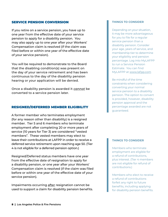#### SERVICE PENSION CONVERSION

If you retire on a service pension, you have up to one year from the effective date of your service pension to apply for a disability pension. You may also apply up to one year after your Workers' Compensation claim is resolved (if the claim was filed before or within one year of the effective date of your service pension).

You will be required to demonstrate to the Board that the disabling condition(s) was present on the day of your service retirement and has been continuous to the day of the disability pension hearing or your application will be denied.

Once a disability pension is awarded it *cannot* be converted to a service pension later.

#### RESIGNED/DEFERRED MEMBER ELIGIBILITY

A former member who terminates employment (for any reason other than disability) is a resigned member. Tier 5 and 6 members who terminate employment after completing 20 or more years of service (10 years for Tier 3) are considered "vested members". These vested members may elect to leave their contributions at LAFPP in order to receive a deferred service retirement upon reaching age 50. (Tier 4 is not eligible for a deferred pension option.)

Resigned/Deferred status members have one year from the effective date of resignation to apply for a disability pension, or one year after your Workers' Compensation claim is resolved (if the claim was filed before or within one year of the effective date of your service pension).

Impairments occurring after resignation cannot be used to support a claim for disability pension benefits.

#### **THINGS TO CONSIDER**

Depending on your situation, it may be more advantageous for you to file for a regular service pension than a disability pension. Consider your age, years of service, and membership tier to determine your eligibility and pension percentage. Log into MyLAFPP to run a Service Pension Estimate. You can find MyLAFPP at [www.lafpp.com](https://www.lafpp.com/)

Be mindful of the time constraints when considering converting your normal service pension to a disability pension. The option to convert is provided, however, disability pension approval and the percentage awarded are not guaranteed.

#### **THINGS TO CONSIDER**

Members who terminate employment are eligible for a refund of contributions, plus interest. (Tier 4 members are not eligible for refund of contributions.)

Members who elect to receive a refund of contributions forfeit any right to future benefits, including applying for disability pension benefits.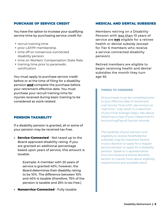#### PURCHASE OF SERVICE CREDIT

You have the option to increase your qualifying service time by purchasing service credit for:

- recruit training time
- prior LAFPP membership
- time off on nonservice-connected disability pension
- time on Workers' Compensation State Rate
- training time prior to paramedic certification

You must apply to purchase service credit before or at the time of filing for a disability pension *and* complete the purchase before your retirement effective date. You must purchase your recruit training time for injuries received during basic training to be considered as work-related.

#### PENSION TAXABILITY

If a disability pension is granted, all or some of your pension may be received tax-free.

**• Service-Connected** - Not taxed up to the Board approved disability rating. If you are granted an additional percentage based upon years of service, this amount is taxable.

> Example: A member with 20 years of service is granted 40%, however, the Board determines their disability rating to be 10%. The difference between 10% and 40% is taxable (therefore, 75% of the pension is taxable and 25% is tax-free.)

**• Nonservice-Connected** - Fully taxable

#### MEDICAL AND DENTAL SUBSIDIES

Members retiring on a Disability Pension with less than 10 years of service are **not** eligible for a retiree health or dental subsidy (except for Tier 6 members who receive a service-connected disability pension).

Retired members are eligible to begin receiving health and dental subsidies the month they turn age 55.

#### **THINGS TO CONSIDER**

All purchases must be completed prior to your effective date of retirement. Lost Service Time (LST), also known as "bad time," may result in a reduction of your Final Average Salary. Ask about obtaining a copy of your Department's Accounting/Payroll Section records.

The taxability of your pension and eligibility to receive health/dental subsidies may be important factors in your decision to apply for a regular service pension or apply for a disability pension. Speak to a representative from the Medical & Dental Benefits section to inquire more about eligibility requirements and available plans.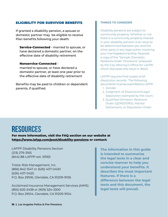#### ELIGIBILITY FOR SURVIVOR BENEFITS

If granted a disability pension, a spouse or domestic partner may be eligible to receive Plan benefits following your death:

**Service-Connected** - married to spouse, or have declared a domestic partner, on the effective date of disability retirement

#### **Nonservice-Connected** -

married to spouse, or have declared a domestic partner, at least one year prior to the effective date of disability retirement

Benefits may be paid to children or dependent parents, if qualified.

#### **THINGS TO CONSIDER**

Disability pensions are subject to community property. Whether or not there is a community property interest in your disability pension is an issue to be determined between you and the other party in any legal action involving your marriage/partnership. Request a copy of the "Sample 'Domestic Relations Order' Provisions" prepared by the City Attorney's Office for LAFPP, which discusses this issue in detail.

LAFPP requires final copies of all dissolution records. The following documents must be submitted to LAFPP. 1. Joinder

- 2. Judgment of Dissolution/Legal Separation stamped by the court.
- 3. Qualified Domestic Relations Order (QDRO/DRO), Marital Settlement, or Stipulation Order

# **RESOURCES**

**For more information, visit the FAQ section on our website at <https://www.lafpp.com/post/disability-pensions> or contact:**

LAFPP Disability Pensions Section (213) 279-3165 (844) 88-LAFPP ext. 93165

Tristar Risk Management, Inc. (866) 842-1547 or (626) 407-0400 (626) 407-0425 P.O. Box 29106, Glendale, CA 91209-9106

Acclaimed Insurance Management Services (AIMS) (855) 605-3438 or (909) 524-3300 P.O. Box 29104, Glendale, CA 91209-9104

**The information in this guide is intended to summarize the legal texts in a clear and concise manner to help you understand your benefits. It describes the most important features. If there is a difference between the legal texts and this document, the legal texts will prevail.**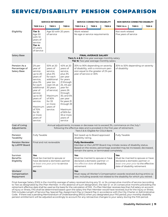## SERVICE/DISABILITY PENSION COMPARISON

|                                              | <b>SERVICE RETIREMENT</b>                                                                                                                                                                                                           |                                                                                                                                                                                                  |                                                                                                                                                                                                                                                            | <b>SERVICE CONNECTED DISABILITY</b>                                                                                                                                                                                  |                   |                                                   | NON-SERVICE CONNECTED DISABILITY                                                                                                                     |        |                   |
|----------------------------------------------|-------------------------------------------------------------------------------------------------------------------------------------------------------------------------------------------------------------------------------------|--------------------------------------------------------------------------------------------------------------------------------------------------------------------------------------------------|------------------------------------------------------------------------------------------------------------------------------------------------------------------------------------------------------------------------------------------------------------|----------------------------------------------------------------------------------------------------------------------------------------------------------------------------------------------------------------------|-------------------|---------------------------------------------------|------------------------------------------------------------------------------------------------------------------------------------------------------|--------|-------------------|
|                                              | <b>TIER 3 &amp; 4</b>                                                                                                                                                                                                               | TIER 5                                                                                                                                                                                           | TIER <sub>6</sub>                                                                                                                                                                                                                                          | <b>TIER 3 &amp; 4</b>                                                                                                                                                                                                | TIER <sub>5</sub> | TIER <sub>6</sub>                                 | <b>TIER 3 &amp; 4</b>                                                                                                                                | TIER 5 | TIER <sub>6</sub> |
| Eligibility                                  | Tier 3:<br>Age 50<br>with 10<br>years of<br>service<br>Tier 4:<br>20 years<br>of service                                                                                                                                            | Age 50 with 20 years<br>of service                                                                                                                                                               |                                                                                                                                                                                                                                                            | Work related<br>No age or service requirements                                                                                                                                                                       |                   |                                                   | Not work related<br>Five years of service                                                                                                            |        |                   |
| Salary Base                                  | <b>FINAL AVERAGE SALARY</b><br><b>Tiers 3, 4 &amp; 5:</b> One-year average monthly salary<br>Tier 6: Two-year average monthly salary                                                                                                |                                                                                                                                                                                                  |                                                                                                                                                                                                                                                            |                                                                                                                                                                                                                      |                   |                                                   |                                                                                                                                                      |        |                   |
| Pension As a<br>Percentage of<br>Salary Base | 2% per<br>year of<br>service<br>up to 20<br>years of<br>service,<br>plus 3%<br>for each<br>additional<br>year of<br>service<br>up to 30<br>years of<br>service.<br>Maximum<br>of 70%<br>for $30$<br>or more<br>years of<br>service. | 50% at 20<br>years of<br>service,<br>plus 3%<br>for each<br>additional<br>year (ex-<br>cept 4% at<br>30 years<br>of service)<br>Maximum<br>of 90%<br>for $33$<br>or more<br>years of<br>service. | 40% at 20<br>years of<br>service,<br>plus 3%<br>per year<br>for years<br>21 through<br>25, 4% per<br>year for<br>years 26<br>through<br>30, and 5%<br>per year<br>for years 31<br>through 33<br>Maximum<br>of 90% for<br>33 or more<br>years of<br>service | 30% to 90% depending on severity<br>of disability, with a minimum pen-<br>sion equal to the greater of 2% per<br>year of service or 30%                                                                              |                   | 30% to 50% depending on severity<br>of disability |                                                                                                                                                      |        |                   |
| Cost of Living<br>Adjustments                | Annual adjustments, increase or decrease not to exceed 3%, commence on the July 1<br>following the effective date and is prorated in the first year of retirement.<br>Tiers 5 & 6: Eligible for COLA Bank                           |                                                                                                                                                                                                  |                                                                                                                                                                                                                                                            |                                                                                                                                                                                                                      |                   |                                                   |                                                                                                                                                      |        |                   |
| Pension<br>Taxability                        | <b>Fully Taxable</b>                                                                                                                                                                                                                |                                                                                                                                                                                                  |                                                                                                                                                                                                                                                            | Not taxed up to Board approved<br>disability rating.                                                                                                                                                                 |                   |                                                   | Fully Taxable                                                                                                                                        |        |                   |
| Pension Review<br>by LAFPP Board             | Final and not reviewable                                                                                                                                                                                                            |                                                                                                                                                                                                  |                                                                                                                                                                                                                                                            | <b>Fully Reviewable</b><br>Member or the LAFPP Board may initiate review of disability status.<br>Based on the review, percentage awarded may be increased, decreased,<br>remain the same, or terminated completely. |                   |                                                   |                                                                                                                                                      |        |                   |
| Survivor<br><b>Benefits</b><br>Eligibility   | Yes<br>Must be married to spouse or<br>have declared a domestic partner<br>at least one year prior to service<br>pension                                                                                                            |                                                                                                                                                                                                  |                                                                                                                                                                                                                                                            | Yes<br>Must be married to spouse or have<br>declared a domestic partner on<br>the effective date of disability<br>retirement                                                                                         |                   |                                                   | Yes<br>Must be married to spouse or have<br>declared a domestic partner at<br>least one year prior to the effective<br>date of disability retirement |        |                   |
| Workers'<br>Compensation<br>Repayment        | No                                                                                                                                                                                                                                  |                                                                                                                                                                                                  |                                                                                                                                                                                                                                                            | Yes<br>Must repay all Worker's Compensation awards received during entire ca-<br>reer, including awards not related to the disability for which you retired.                                                         |                   |                                                   |                                                                                                                                                      |        |                   |

Final Average Salary (FAS) is the monthly average of salary received during any 12- or 24-consecutive months of service (according to Tier) as designated by the Plan Member. In the absence of such designation, the last 12- or 24-consecutive months preceding the retirement effective date shall be used as the basis for the calculation of FAS. If a Plan Member receives less than full salary on account of injury or illness, FAS shall be determined based upon the salary the Plan Member would have received, but for the injury or illness. FAS includes Length of Service Pay, Special Pay, Assignment Pay or Hazard Pay in accordance with the City Charter or Administrative Code. If there was a pending Memorandum of Understanding (MOU) when you designated your FAS period, your monthly disability pension entitlement will be adjusted accordingly to account for any retroactive changes to your salary during the FAS period.